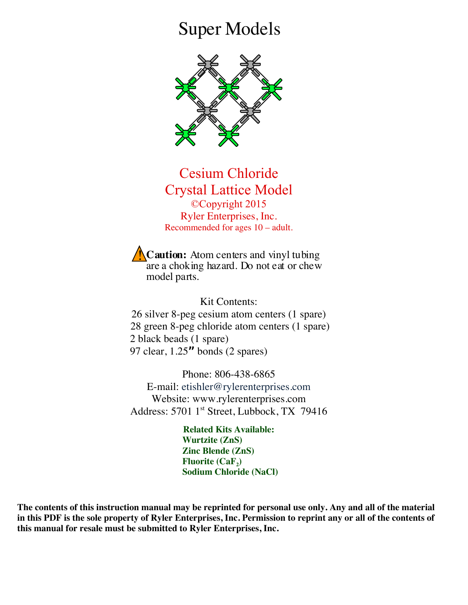## Super Models



Cesium Chloride Crystal Lattice Model ©Copyright 2015 Ryler Enterprises, Inc. Recommended for ages 10 – adult.

**Caution:** Atom centers and vinyl tubing are a choking hazard. Do not eat or chew model parts.

Kit Contents: 26 silver 8-peg cesium atom centers (1 spare) 28 green 8-peg chloride atom centers (1 spare) 2 black beads (1 spare) 97 clear, 1.25**"** bonds (2 spares)

Phone: 806-438-6865 E-mail: etishler@rylerenterprises.com Website: www.rylerenterprises.com Address: 5701 1<sup>st</sup> Street, Lubbock, TX 79416

> **Related Kits Available: Wurtzite (ZnS) Zinc Blende (ZnS) Fluorite (CaF<sub>2</sub>) Sodium Chloride (NaCl)**

**The contents of this instruction manual may be reprinted for personal use only. Any and all of the material in this PDF is the sole property of Ryler Enterprises, Inc. Permission to reprint any or all of the contents of this manual for resale must be submitted to Ryler Enterprises, Inc.**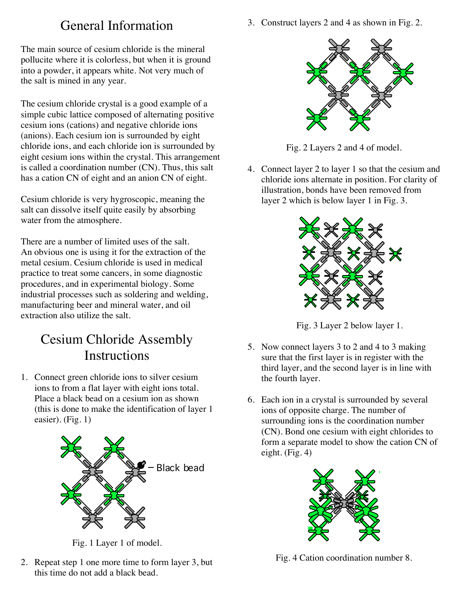## General Information

The main source of cesium chloride is the mineral pollucite where it is colorless, but when it is ground into a powder, it appears white. Not very much of the salt is mined in any year.

The cesium chloride crystal is a good example of a simple cubic lattice composed of alternating positive cesium ions (cations) and negative chloride ions (anions). Each cesium ion is surrounded by eight chloride ions, and each chloride ion is surrounded by eight cesium ions within the crystal. This arrangement is called a coordination number (CN). Thus, this salt has a cation CN of eight and an anion CN of eight.

Cesium chloride is very hygroscopic, meaning the salt can dissolve itself quite easily by absorbing water from the atmosphere.

There are a number of limited uses of the salt. An obvious one is using it for the extraction of the metal cesium. Cesium chloride is used in medical practice to treat some cancers, in some diagnostic procedures, and in experimental biology. Some industrial processes such as soldering and welding, manufacturing beer and mineral water, and oil extraction also utilize the salt.

## Cesium Chloride Assembly **Instructions**

1. Connect green chloride ions to silver cesium ions to from a flat layer with eight ions total. Place a black bead on a cesium ion as shown (this is done to make the identification of layer 1 easier). (Fig. 1)



Fig. 1 Layer 1 of model.

2. Repeat step 1 one more time to form layer 3, but this time do not add a black bead.

3. Construct layers 2 and 4 as shown in Fig. 2.



Fig. 2 Layers 2 and 4 of model.

4. Connect layer 2 to layer 1 so that the cesium and chloride ions alternate in position. For clarity of illustration, bonds have been removed from layer 2 which is below layer 1 in Fig. 3.



Fig. 3 Layer 2 below layer 1.

- 5. Now connect layers 3 to 2 and 4 to 3 making sure that the first layer is in register with the third layer, and the second layer is in line with the fourth layer.
- 6. Each ion in a crystal is surrounded by several ions of opposite charge. The number of surrounding ions is the coordination number (CN). Bond one cesium with eight chlorides to form a separate model to show the cation CN of eight. (Fig. 4)



Fig. 4 Cation coordination number 8.